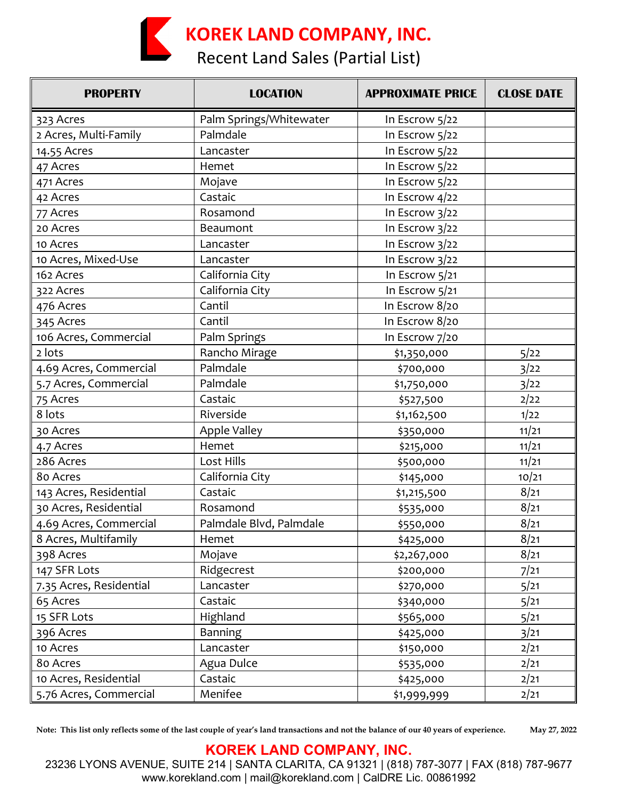## **KOREK LAND COMPANY, INC.**

Recent Land Sales (Partial List)

| <b>PROPERTY</b>         | <b>LOCATION</b>         | <b>APPROXIMATE PRICE</b> | <b>CLOSE DATE</b> |
|-------------------------|-------------------------|--------------------------|-------------------|
| 323 Acres               | Palm Springs/Whitewater | In Escrow 5/22           |                   |
| 2 Acres, Multi-Family   | Palmdale                | In Escrow 5/22           |                   |
| 14.55 Acres             | Lancaster               | In Escrow 5/22           |                   |
| 47 Acres                | Hemet                   | In Escrow 5/22           |                   |
| 471 Acres               | Mojave                  | In Escrow 5/22           |                   |
| 42 Acres                | Castaic                 | In Escrow 4/22           |                   |
| 77 Acres                | Rosamond                | In Escrow 3/22           |                   |
| 20 Acres                | Beaumont                | In Escrow $3/22$         |                   |
| 10 Acres                | Lancaster               | In Escrow $3/22$         |                   |
| 10 Acres, Mixed-Use     | Lancaster               | In Escrow 3/22           |                   |
| 162 Acres               | California City         | In Escrow 5/21           |                   |
| 322 Acres               | California City         | In Escrow 5/21           |                   |
| 476 Acres               | Cantil                  | In Escrow 8/20           |                   |
| 345 Acres               | Cantil                  | In Escrow 8/20           |                   |
| 106 Acres, Commercial   | Palm Springs            | In Escrow 7/20           |                   |
| 2 lots                  | Rancho Mirage           | \$1,350,000              | 5/22              |
| 4.69 Acres, Commercial  | Palmdale                | \$700,000                | 3/22              |
| 5.7 Acres, Commercial   | Palmdale                | \$1,750,000              | 3/22              |
| 75 Acres                | Castaic                 | \$527,500                | 2/22              |
| 8 lots                  | Riverside               | \$1,162,500              | 1/22              |
| 30 Acres                | Apple Valley            | \$350,000                | 11/21             |
| 4.7 Acres               | Hemet                   | \$215,000                | 11/21             |
| 286 Acres               | Lost Hills              | \$500,000                | 11/21             |
| 80 Acres                | California City         | \$145,000                | 10/21             |
| 143 Acres, Residential  | Castaic                 | \$1,215,500              | 8/21              |
| 30 Acres, Residential   | Rosamond                | \$535,000                | 8/21              |
| 4.69 Acres, Commercial  | Palmdale Blvd, Palmdale | \$550,000                | 8/21              |
| 8 Acres, Multifamily    | Hemet                   | \$425,000                | 8/21              |
| 398 Acres               | Mojave                  | \$2,267,000              | 8/21              |
| 147 SFR Lots            | Ridgecrest              | \$200,000                | 7/21              |
| 7.35 Acres, Residential | Lancaster               | \$270,000                | 5/21              |
| 65 Acres                | Castaic                 | \$340,000                | 5/21              |
| 15 SFR Lots             | Highland                | \$565,000                | 5/21              |
| 396 Acres               | <b>Banning</b>          | \$425,000                | 3/21              |
| 10 Acres                | Lancaster               | \$150,000                | 2/21              |
| 80 Acres                | Agua Dulce              | \$535,000                | 2/21              |
| 10 Acres, Residential   | Castaic                 | \$425,000                | 2/21              |
| 5.76 Acres, Commercial  | Menifee                 | \$1,999,999              | 2/21              |

**Note: This list only reflects some of the last couple of year's land transactions and not the balance of our 40 years of experience. May 27, 2022**

## **KOREK LAND COMPANY, INC.**

23236 LYONS AVENUE, SUITE 214 | SANTA CLARITA, CA 91321 | (818) 787-3077 | FAX (818) 787-9677 www.korekland.com | mail@korekland.com | CalDRE Lic. 00861992